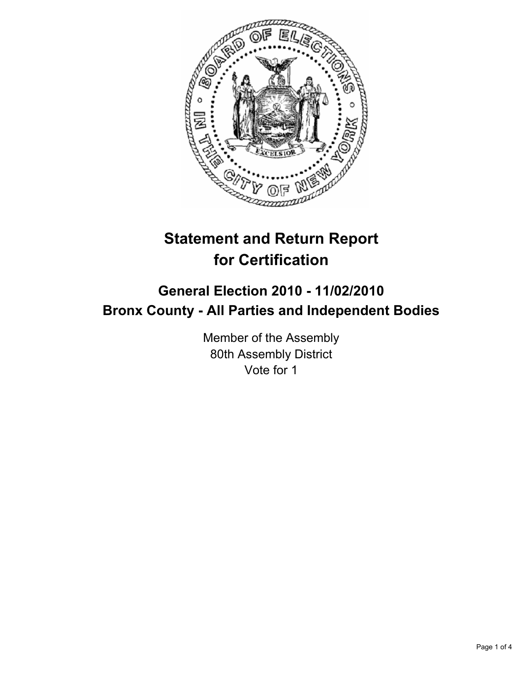

# **Statement and Return Report for Certification**

## **General Election 2010 - 11/02/2010 Bronx County - All Parties and Independent Bodies**

Member of the Assembly 80th Assembly District Vote for 1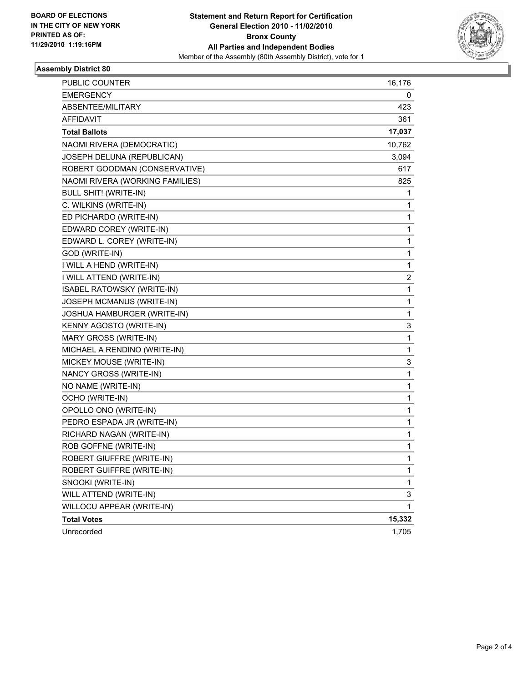

#### **Assembly District 80**

| <b>PUBLIC COUNTER</b>           | 16,176 |
|---------------------------------|--------|
| <b>EMERGENCY</b>                | 0      |
| ABSENTEE/MILITARY               | 423    |
| AFFIDAVIT                       | 361    |
| <b>Total Ballots</b>            | 17,037 |
| NAOMI RIVERA (DEMOCRATIC)       | 10,762 |
| JOSEPH DELUNA (REPUBLICAN)      | 3,094  |
| ROBERT GOODMAN (CONSERVATIVE)   | 617    |
| NAOMI RIVERA (WORKING FAMILIES) | 825    |
| <b>BULL SHIT! (WRITE-IN)</b>    | 1      |
| C. WILKINS (WRITE-IN)           | 1      |
| ED PICHARDO (WRITE-IN)          | 1      |
| EDWARD COREY (WRITE-IN)         | 1      |
| EDWARD L. COREY (WRITE-IN)      | 1      |
| GOD (WRITE-IN)                  | 1      |
| I WILL A HEND (WRITE-IN)        | 1      |
| I WILL ATTEND (WRITE-IN)        | 2      |
| ISABEL RATOWSKY (WRITE-IN)      | 1      |
| JOSEPH MCMANUS (WRITE-IN)       | 1      |
| JOSHUA HAMBURGER (WRITE-IN)     | 1      |
| KENNY AGOSTO (WRITE-IN)         | 3      |
| MARY GROSS (WRITE-IN)           | 1      |
| MICHAEL A RENDINO (WRITE-IN)    | 1      |
| MICKEY MOUSE (WRITE-IN)         | 3      |
| NANCY GROSS (WRITE-IN)          | 1      |
| NO NAME (WRITE-IN)              | 1      |
| OCHO (WRITE-IN)                 | 1      |
| OPOLLO ONO (WRITE-IN)           | 1      |
| PEDRO ESPADA JR (WRITE-IN)      | 1      |
| RICHARD NAGAN (WRITE-IN)        | 1      |
| ROB GOFFNE (WRITE-IN)           | 1      |
| ROBERT GIUFFRE (WRITE-IN)       | 1      |
| ROBERT GUIFFRE (WRITE-IN)       | 1      |
| SNOOKI (WRITE-IN)               | 1      |
| WILL ATTEND (WRITE-IN)          | 3      |
| WILLOCU APPEAR (WRITE-IN)       | 1      |
| <b>Total Votes</b>              | 15,332 |
| Unrecorded                      | 1,705  |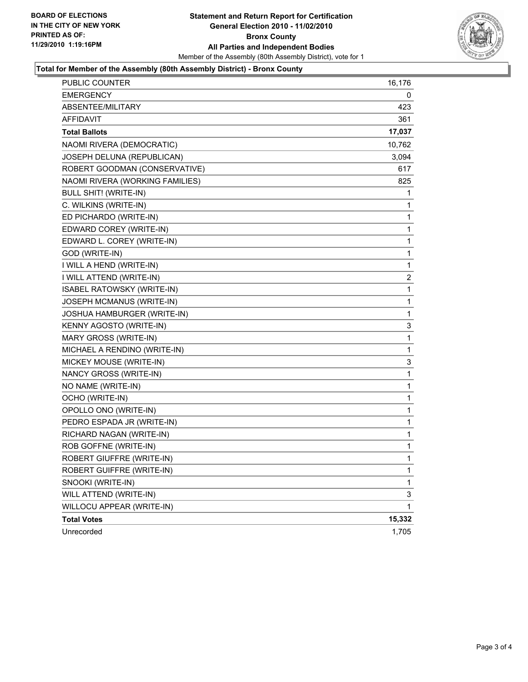

#### **Total for Member of the Assembly (80th Assembly District) - Bronx County**

| <b>PUBLIC COUNTER</b>           | 16,176 |
|---------------------------------|--------|
| <b>EMERGENCY</b>                | 0      |
| ABSENTEE/MILITARY               | 423    |
| AFFIDAVIT                       | 361    |
| <b>Total Ballots</b>            | 17,037 |
| NAOMI RIVERA (DEMOCRATIC)       | 10,762 |
| JOSEPH DELUNA (REPUBLICAN)      | 3,094  |
| ROBERT GOODMAN (CONSERVATIVE)   | 617    |
| NAOMI RIVERA (WORKING FAMILIES) | 825    |
| <b>BULL SHIT! (WRITE-IN)</b>    | 1      |
| C. WILKINS (WRITE-IN)           | 1      |
| ED PICHARDO (WRITE-IN)          | 1      |
| EDWARD COREY (WRITE-IN)         | 1      |
| EDWARD L. COREY (WRITE-IN)      | 1      |
| GOD (WRITE-IN)                  | 1      |
| I WILL A HEND (WRITE-IN)        | 1      |
| I WILL ATTEND (WRITE-IN)        | 2      |
| ISABEL RATOWSKY (WRITE-IN)      | 1      |
| JOSEPH MCMANUS (WRITE-IN)       | 1      |
| JOSHUA HAMBURGER (WRITE-IN)     | 1      |
| KENNY AGOSTO (WRITE-IN)         | 3      |
| MARY GROSS (WRITE-IN)           | 1      |
| MICHAEL A RENDINO (WRITE-IN)    | 1      |
| MICKEY MOUSE (WRITE-IN)         | 3      |
| NANCY GROSS (WRITE-IN)          | 1      |
| NO NAME (WRITE-IN)              | 1      |
| OCHO (WRITE-IN)                 | 1      |
| OPOLLO ONO (WRITE-IN)           | 1      |
| PEDRO ESPADA JR (WRITE-IN)      | 1      |
| RICHARD NAGAN (WRITE-IN)        | 1      |
| ROB GOFFNE (WRITE-IN)           | 1      |
| ROBERT GIUFFRE (WRITE-IN)       | 1      |
| ROBERT GUIFFRE (WRITE-IN)       | 1      |
| SNOOKI (WRITE-IN)               | 1      |
| WILL ATTEND (WRITE-IN)          | 3      |
| WILLOCU APPEAR (WRITE-IN)       | 1      |
| <b>Total Votes</b>              | 15,332 |
| Unrecorded                      | 1,705  |